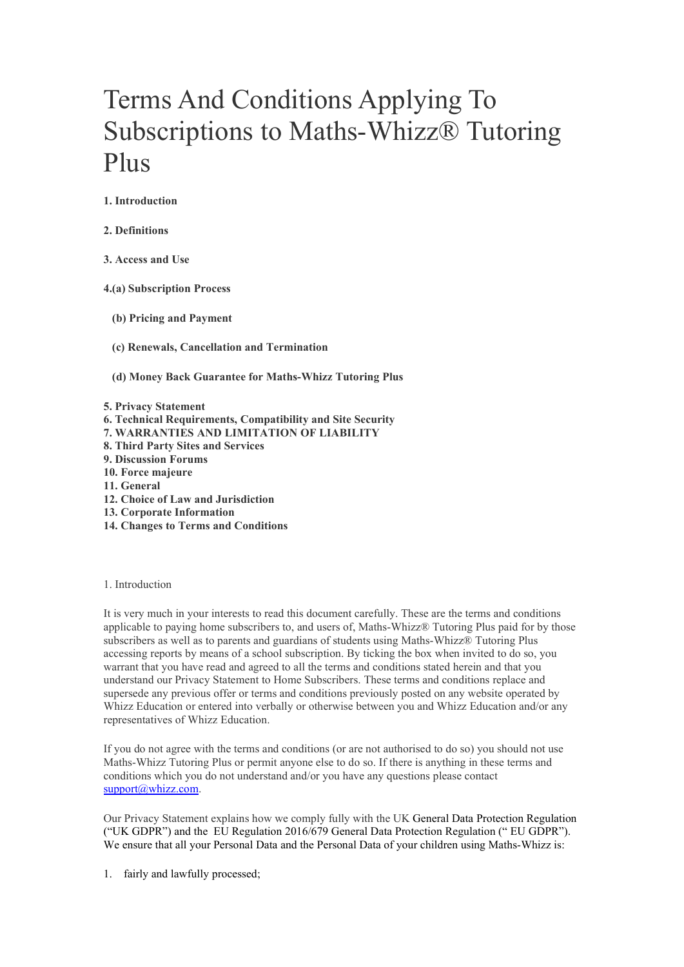# Terms And Conditions Applying To Subscriptions to Maths-Whizz® Tutoring Plus

1. Introduction

2. Definitions

3. Access and Use

4.(a) Subscription Process

- (b) Pricing and Payment
- (c) Renewals, Cancellation and Termination

(d) Money Back Guarantee for Maths-Whizz Tutoring Plus

5. Privacy Statement

- 6. Technical Requirements, Compatibility and Site Security
- 7. WARRANTIES AND LIMITATION OF LIABILITY
- 8. Third Party Sites and Services
- 9. Discussion Forums
- 10. Force majeure
- 11. General
- 12. Choice of Law and Jurisdiction
- 13. Corporate Information
- 14. Changes to Terms and Conditions

# 1. Introduction

It is very much in your interests to read this document carefully. These are the terms and conditions applicable to paying home subscribers to, and users of, Maths-Whizz® Tutoring Plus paid for by those subscribers as well as to parents and guardians of students using Maths-Whizz® Tutoring Plus accessing reports by means of a school subscription. By ticking the box when invited to do so, you warrant that you have read and agreed to all the terms and conditions stated herein and that you understand our Privacy Statement to Home Subscribers. These terms and conditions replace and supersede any previous offer or terms and conditions previously posted on any website operated by Whizz Education or entered into verbally or otherwise between you and Whizz Education and/or any representatives of Whizz Education.

If you do not agree with the terms and conditions (or are not authorised to do so) you should not use Maths-Whizz Tutoring Plus or permit anyone else to do so. If there is anything in these terms and conditions which you do not understand and/or you have any questions please contact support@whizz.com.

Our Privacy Statement explains how we comply fully with the UK General Data Protection Regulation ("UK GDPR") and the EU Regulation 2016/679 General Data Protection Regulation (" EU GDPR"). We ensure that all your Personal Data and the Personal Data of your children using Maths-Whizz is:

1. fairly and lawfully processed;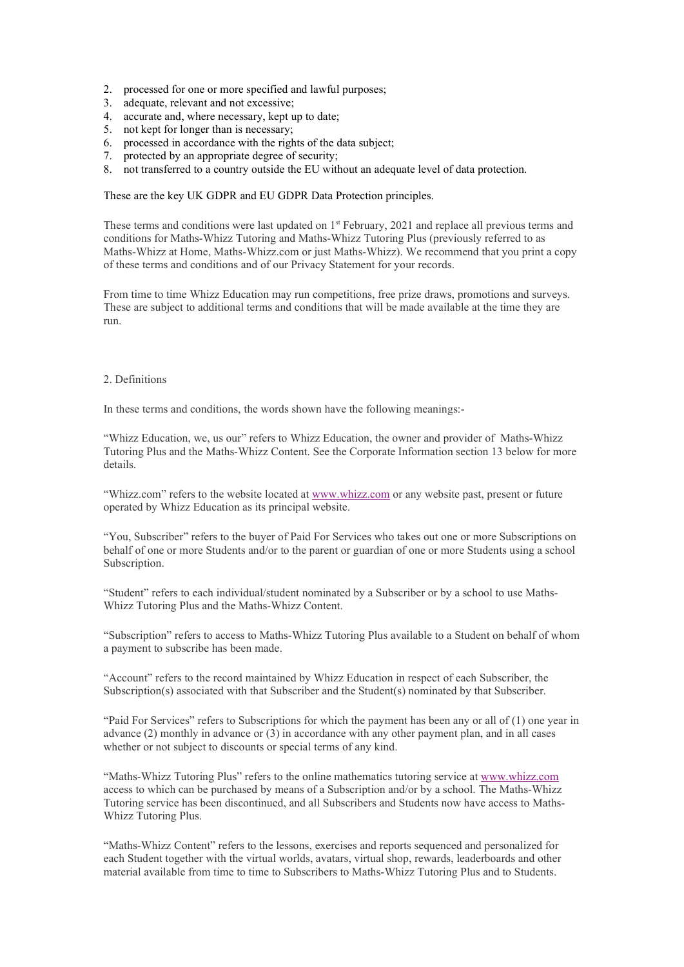- 2. processed for one or more specified and lawful purposes;
- 3. adequate, relevant and not excessive;
- 4. accurate and, where necessary, kept up to date;
- 5. not kept for longer than is necessary;
- 6. processed in accordance with the rights of the data subject;
- 7. protected by an appropriate degree of security;
- 8. not transferred to a country outside the EU without an adequate level of data protection.

These are the key UK GDPR and EU GDPR Data Protection principles.

These terms and conditions were last updated on  $1<sup>st</sup>$  February, 2021 and replace all previous terms and conditions for Maths-Whizz Tutoring and Maths-Whizz Tutoring Plus (previously referred to as Maths-Whizz at Home, Maths-Whizz.com or just Maths-Whizz). We recommend that you print a copy of these terms and conditions and of our Privacy Statement for your records.

From time to time Whizz Education may run competitions, free prize draws, promotions and surveys. These are subject to additional terms and conditions that will be made available at the time they are run.

#### 2. Definitions

In these terms and conditions, the words shown have the following meanings:-

"Whizz Education, we, us our" refers to Whizz Education, the owner and provider of Maths-Whizz Tutoring Plus and the Maths-Whizz Content. See the Corporate Information section 13 below for more details.

"Whizz.com" refers to the website located at www.whizz.com or any website past, present or future operated by Whizz Education as its principal website.

"You, Subscriber" refers to the buyer of Paid For Services who takes out one or more Subscriptions on behalf of one or more Students and/or to the parent or guardian of one or more Students using a school Subscription.

"Student" refers to each individual/student nominated by a Subscriber or by a school to use Maths-Whizz Tutoring Plus and the Maths-Whizz Content.

"Subscription" refers to access to Maths-Whizz Tutoring Plus available to a Student on behalf of whom a payment to subscribe has been made.

"Account" refers to the record maintained by Whizz Education in respect of each Subscriber, the Subscription(s) associated with that Subscriber and the Student(s) nominated by that Subscriber.

"Paid For Services" refers to Subscriptions for which the payment has been any or all of (1) one year in advance (2) monthly in advance or (3) in accordance with any other payment plan, and in all cases whether or not subject to discounts or special terms of any kind.

"Maths-Whizz Tutoring Plus" refers to the online mathematics tutoring service at www.whizz.com access to which can be purchased by means of a Subscription and/or by a school. The Maths-Whizz Tutoring service has been discontinued, and all Subscribers and Students now have access to Maths-Whizz Tutoring Plus.

"Maths-Whizz Content" refers to the lessons, exercises and reports sequenced and personalized for each Student together with the virtual worlds, avatars, virtual shop, rewards, leaderboards and other material available from time to time to Subscribers to Maths-Whizz Tutoring Plus and to Students.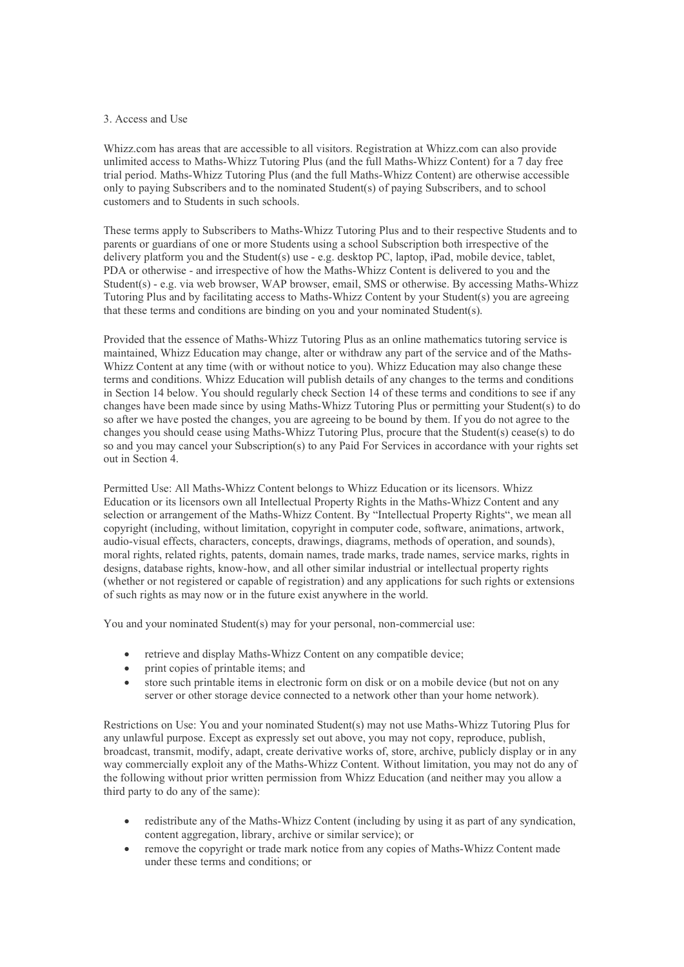# 3. Access and Use

Whizz.com has areas that are accessible to all visitors. Registration at Whizz.com can also provide unlimited access to Maths-Whizz Tutoring Plus (and the full Maths-Whizz Content) for a 7 day free trial period. Maths-Whizz Tutoring Plus (and the full Maths-Whizz Content) are otherwise accessible only to paying Subscribers and to the nominated Student(s) of paying Subscribers, and to school customers and to Students in such schools.

These terms apply to Subscribers to Maths-Whizz Tutoring Plus and to their respective Students and to parents or guardians of one or more Students using a school Subscription both irrespective of the delivery platform you and the Student(s) use - e.g. desktop PC, laptop, iPad, mobile device, tablet, PDA or otherwise - and irrespective of how the Maths-Whizz Content is delivered to you and the Student(s) - e.g. via web browser, WAP browser, email, SMS or otherwise. By accessing Maths-Whizz Tutoring Plus and by facilitating access to Maths-Whizz Content by your Student(s) you are agreeing that these terms and conditions are binding on you and your nominated Student(s).

Provided that the essence of Maths-Whizz Tutoring Plus as an online mathematics tutoring service is maintained, Whizz Education may change, alter or withdraw any part of the service and of the Maths-Whizz Content at any time (with or without notice to you). Whizz Education may also change these terms and conditions. Whizz Education will publish details of any changes to the terms and conditions in Section 14 below. You should regularly check Section 14 of these terms and conditions to see if any changes have been made since by using Maths-Whizz Tutoring Plus or permitting your Student(s) to do so after we have posted the changes, you are agreeing to be bound by them. If you do not agree to the changes you should cease using Maths-Whizz Tutoring Plus, procure that the Student(s) cease(s) to do so and you may cancel your Subscription(s) to any Paid For Services in accordance with your rights set out in Section 4.

Permitted Use: All Maths-Whizz Content belongs to Whizz Education or its licensors. Whizz Education or its licensors own all Intellectual Property Rights in the Maths-Whizz Content and any selection or arrangement of the Maths-Whizz Content. By "Intellectual Property Rights", we mean all copyright (including, without limitation, copyright in computer code, software, animations, artwork, audio-visual effects, characters, concepts, drawings, diagrams, methods of operation, and sounds), moral rights, related rights, patents, domain names, trade marks, trade names, service marks, rights in designs, database rights, know-how, and all other similar industrial or intellectual property rights (whether or not registered or capable of registration) and any applications for such rights or extensions of such rights as may now or in the future exist anywhere in the world.

You and your nominated Student(s) may for your personal, non-commercial use:

- retrieve and display Maths-Whizz Content on any compatible device;
- print copies of printable items; and
- store such printable items in electronic form on disk or on a mobile device (but not on any server or other storage device connected to a network other than your home network).

Restrictions on Use: You and your nominated Student(s) may not use Maths-Whizz Tutoring Plus for any unlawful purpose. Except as expressly set out above, you may not copy, reproduce, publish, broadcast, transmit, modify, adapt, create derivative works of, store, archive, publicly display or in any way commercially exploit any of the Maths-Whizz Content. Without limitation, you may not do any of the following without prior written permission from Whizz Education (and neither may you allow a third party to do any of the same):

- redistribute any of the Maths-Whizz Content (including by using it as part of any syndication, content aggregation, library, archive or similar service); or
- remove the copyright or trade mark notice from any copies of Maths-Whizz Content made under these terms and conditions; or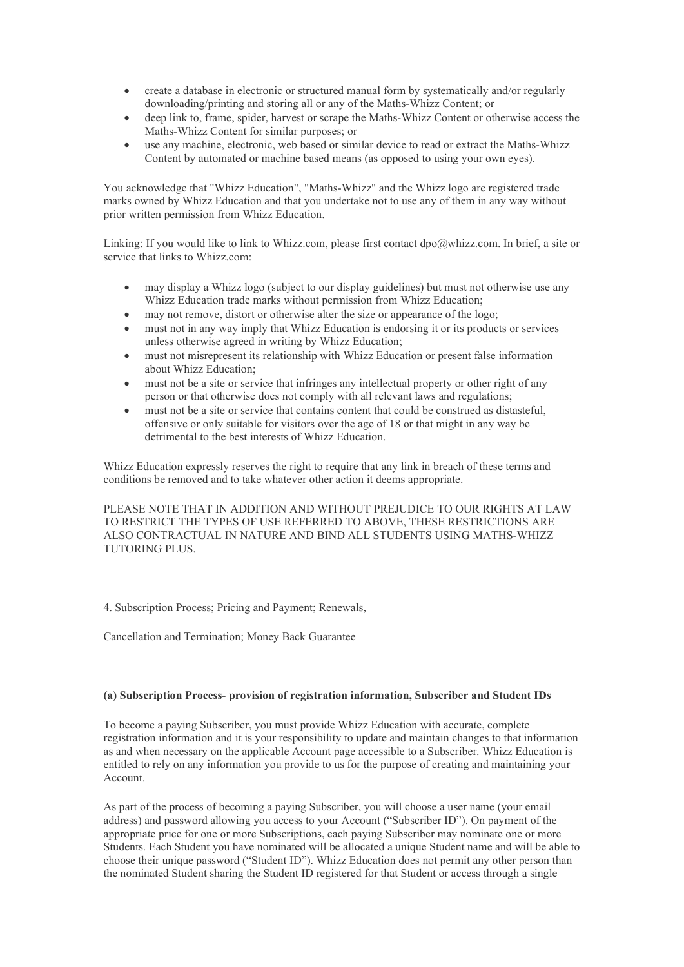- create a database in electronic or structured manual form by systematically and/or regularly downloading/printing and storing all or any of the Maths-Whizz Content; or
- deep link to, frame, spider, harvest or scrape the Maths-Whizz Content or otherwise access the Maths-Whizz Content for similar purposes; or
- use any machine, electronic, web based or similar device to read or extract the Maths-Whizz Content by automated or machine based means (as opposed to using your own eyes).

You acknowledge that "Whizz Education", "Maths-Whizz" and the Whizz logo are registered trade marks owned by Whizz Education and that you undertake not to use any of them in any way without prior written permission from Whizz Education.

Linking: If you would like to link to Whizz.com, please first contact dpo@whizz.com. In brief, a site or service that links to Whizz.com:

- may display a Whizz logo (subject to our display guidelines) but must not otherwise use any Whizz Education trade marks without permission from Whizz Education;
- may not remove, distort or otherwise alter the size or appearance of the logo;
- must not in any way imply that Whizz Education is endorsing it or its products or services unless otherwise agreed in writing by Whizz Education;
- must not misrepresent its relationship with Whizz Education or present false information about Whizz Education;
- must not be a site or service that infringes any intellectual property or other right of any person or that otherwise does not comply with all relevant laws and regulations;
- must not be a site or service that contains content that could be construed as distasteful, offensive or only suitable for visitors over the age of 18 or that might in any way be detrimental to the best interests of Whizz Education.

Whizz Education expressly reserves the right to require that any link in breach of these terms and conditions be removed and to take whatever other action it deems appropriate.

PLEASE NOTE THAT IN ADDITION AND WITHOUT PREJUDICE TO OUR RIGHTS AT LAW TO RESTRICT THE TYPES OF USE REFERRED TO ABOVE, THESE RESTRICTIONS ARE ALSO CONTRACTUAL IN NATURE AND BIND ALL STUDENTS USING MATHS-WHIZZ TUTORING PLUS.

4. Subscription Process; Pricing and Payment; Renewals,

Cancellation and Termination; Money Back Guarantee

#### (a) Subscription Process- provision of registration information, Subscriber and Student IDs

To become a paying Subscriber, you must provide Whizz Education with accurate, complete registration information and it is your responsibility to update and maintain changes to that information as and when necessary on the applicable Account page accessible to a Subscriber. Whizz Education is entitled to rely on any information you provide to us for the purpose of creating and maintaining your Account.

As part of the process of becoming a paying Subscriber, you will choose a user name (your email address) and password allowing you access to your Account ("Subscriber ID"). On payment of the appropriate price for one or more Subscriptions, each paying Subscriber may nominate one or more Students. Each Student you have nominated will be allocated a unique Student name and will be able to choose their unique password ("Student ID"). Whizz Education does not permit any other person than the nominated Student sharing the Student ID registered for that Student or access through a single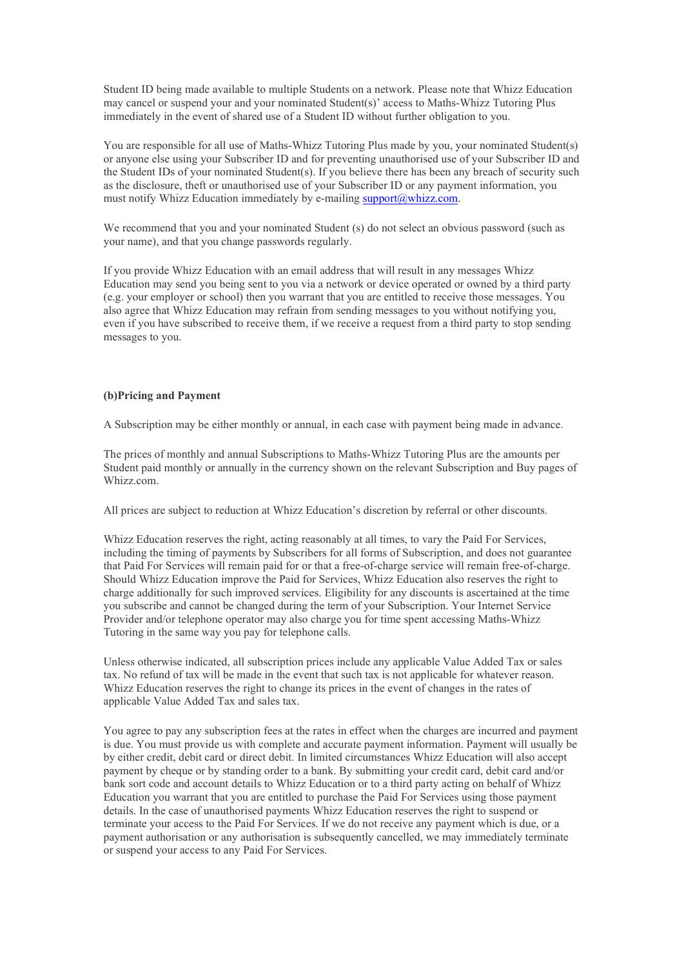Student ID being made available to multiple Students on a network. Please note that Whizz Education may cancel or suspend your and your nominated Student(s)' access to Maths-Whizz Tutoring Plus immediately in the event of shared use of a Student ID without further obligation to you.

You are responsible for all use of Maths-Whizz Tutoring Plus made by you, your nominated Student(s) or anyone else using your Subscriber ID and for preventing unauthorised use of your Subscriber ID and the Student IDs of your nominated Student(s). If you believe there has been any breach of security such as the disclosure, theft or unauthorised use of your Subscriber ID or any payment information, you must notify Whizz Education immediately by e-mailing support@whizz.com.

We recommend that you and your nominated Student (s) do not select an obvious password (such as your name), and that you change passwords regularly.

If you provide Whizz Education with an email address that will result in any messages Whizz Education may send you being sent to you via a network or device operated or owned by a third party (e.g. your employer or school) then you warrant that you are entitled to receive those messages. You also agree that Whizz Education may refrain from sending messages to you without notifying you, even if you have subscribed to receive them, if we receive a request from a third party to stop sending messages to you.

# (b)Pricing and Payment

A Subscription may be either monthly or annual, in each case with payment being made in advance.

The prices of monthly and annual Subscriptions to Maths-Whizz Tutoring Plus are the amounts per Student paid monthly or annually in the currency shown on the relevant Subscription and Buy pages of Whizz.com.

All prices are subject to reduction at Whizz Education's discretion by referral or other discounts.

Whizz Education reserves the right, acting reasonably at all times, to vary the Paid For Services, including the timing of payments by Subscribers for all forms of Subscription, and does not guarantee that Paid For Services will remain paid for or that a free-of-charge service will remain free-of-charge. Should Whizz Education improve the Paid for Services, Whizz Education also reserves the right to charge additionally for such improved services. Eligibility for any discounts is ascertained at the time you subscribe and cannot be changed during the term of your Subscription. Your Internet Service Provider and/or telephone operator may also charge you for time spent accessing Maths-Whizz Tutoring in the same way you pay for telephone calls.

Unless otherwise indicated, all subscription prices include any applicable Value Added Tax or sales tax. No refund of tax will be made in the event that such tax is not applicable for whatever reason. Whizz Education reserves the right to change its prices in the event of changes in the rates of applicable Value Added Tax and sales tax.

You agree to pay any subscription fees at the rates in effect when the charges are incurred and payment is due. You must provide us with complete and accurate payment information. Payment will usually be by either credit, debit card or direct debit. In limited circumstances Whizz Education will also accept payment by cheque or by standing order to a bank. By submitting your credit card, debit card and/or bank sort code and account details to Whizz Education or to a third party acting on behalf of Whizz Education you warrant that you are entitled to purchase the Paid For Services using those payment details. In the case of unauthorised payments Whizz Education reserves the right to suspend or terminate your access to the Paid For Services. If we do not receive any payment which is due, or a payment authorisation or any authorisation is subsequently cancelled, we may immediately terminate or suspend your access to any Paid For Services.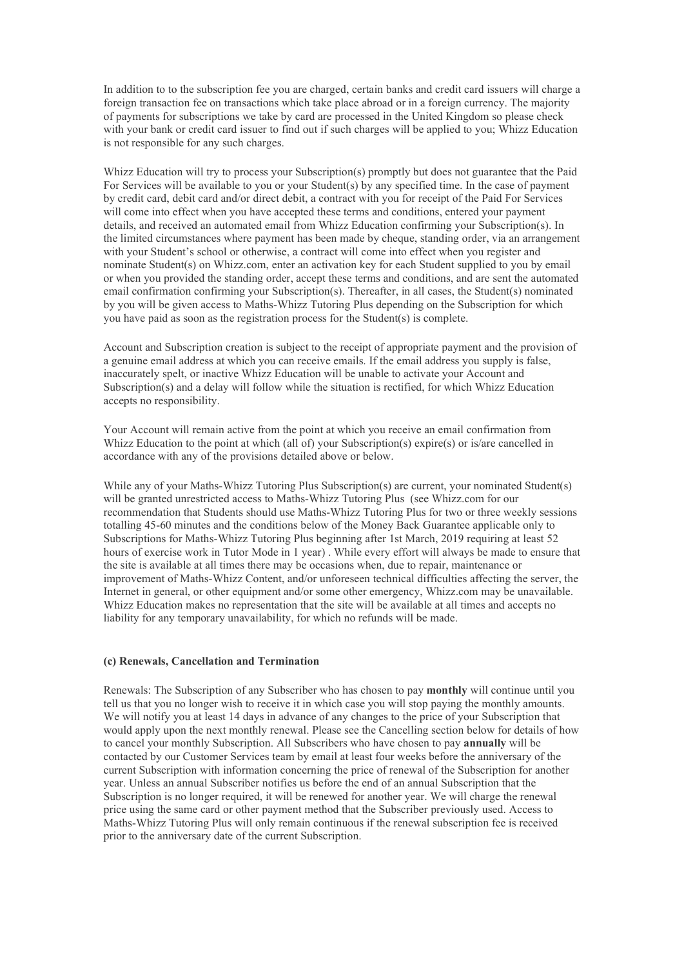In addition to to the subscription fee you are charged, certain banks and credit card issuers will charge a foreign transaction fee on transactions which take place abroad or in a foreign currency. The majority of payments for subscriptions we take by card are processed in the United Kingdom so please check with your bank or credit card issuer to find out if such charges will be applied to you; Whizz Education is not responsible for any such charges.

Whizz Education will try to process your Subscription(s) promptly but does not guarantee that the Paid For Services will be available to you or your Student(s) by any specified time. In the case of payment by credit card, debit card and/or direct debit, a contract with you for receipt of the Paid For Services will come into effect when you have accepted these terms and conditions, entered your payment details, and received an automated email from Whizz Education confirming your Subscription(s). In the limited circumstances where payment has been made by cheque, standing order, via an arrangement with your Student's school or otherwise, a contract will come into effect when you register and nominate Student(s) on Whizz.com, enter an activation key for each Student supplied to you by email or when you provided the standing order, accept these terms and conditions, and are sent the automated email confirmation confirming your Subscription(s). Thereafter, in all cases, the Student(s) nominated by you will be given access to Maths-Whizz Tutoring Plus depending on the Subscription for which you have paid as soon as the registration process for the Student(s) is complete.

Account and Subscription creation is subject to the receipt of appropriate payment and the provision of a genuine email address at which you can receive emails. If the email address you supply is false, inaccurately spelt, or inactive Whizz Education will be unable to activate your Account and Subscription(s) and a delay will follow while the situation is rectified, for which Whizz Education accepts no responsibility.

Your Account will remain active from the point at which you receive an email confirmation from Whizz Education to the point at which (all of) your Subscription(s) expire(s) or is/are cancelled in accordance with any of the provisions detailed above or below.

While any of your Maths-Whizz Tutoring Plus Subscription(s) are current, your nominated Student(s) will be granted unrestricted access to Maths-Whizz Tutoring Plus (see Whizz.com for our recommendation that Students should use Maths-Whizz Tutoring Plus for two or three weekly sessions totalling 45-60 minutes and the conditions below of the Money Back Guarantee applicable only to Subscriptions for Maths-Whizz Tutoring Plus beginning after 1st March, 2019 requiring at least 52 hours of exercise work in Tutor Mode in 1 year) . While every effort will always be made to ensure that the site is available at all times there may be occasions when, due to repair, maintenance or improvement of Maths-Whizz Content, and/or unforeseen technical difficulties affecting the server, the Internet in general, or other equipment and/or some other emergency, Whizz.com may be unavailable. Whizz Education makes no representation that the site will be available at all times and accepts no liability for any temporary unavailability, for which no refunds will be made.

# (c) Renewals, Cancellation and Termination

Renewals: The Subscription of any Subscriber who has chosen to pay monthly will continue until you tell us that you no longer wish to receive it in which case you will stop paying the monthly amounts. We will notify you at least 14 days in advance of any changes to the price of your Subscription that would apply upon the next monthly renewal. Please see the Cancelling section below for details of how to cancel your monthly Subscription. All Subscribers who have chosen to pay annually will be contacted by our Customer Services team by email at least four weeks before the anniversary of the current Subscription with information concerning the price of renewal of the Subscription for another year. Unless an annual Subscriber notifies us before the end of an annual Subscription that the Subscription is no longer required, it will be renewed for another year. We will charge the renewal price using the same card or other payment method that the Subscriber previously used. Access to Maths-Whizz Tutoring Plus will only remain continuous if the renewal subscription fee is received prior to the anniversary date of the current Subscription.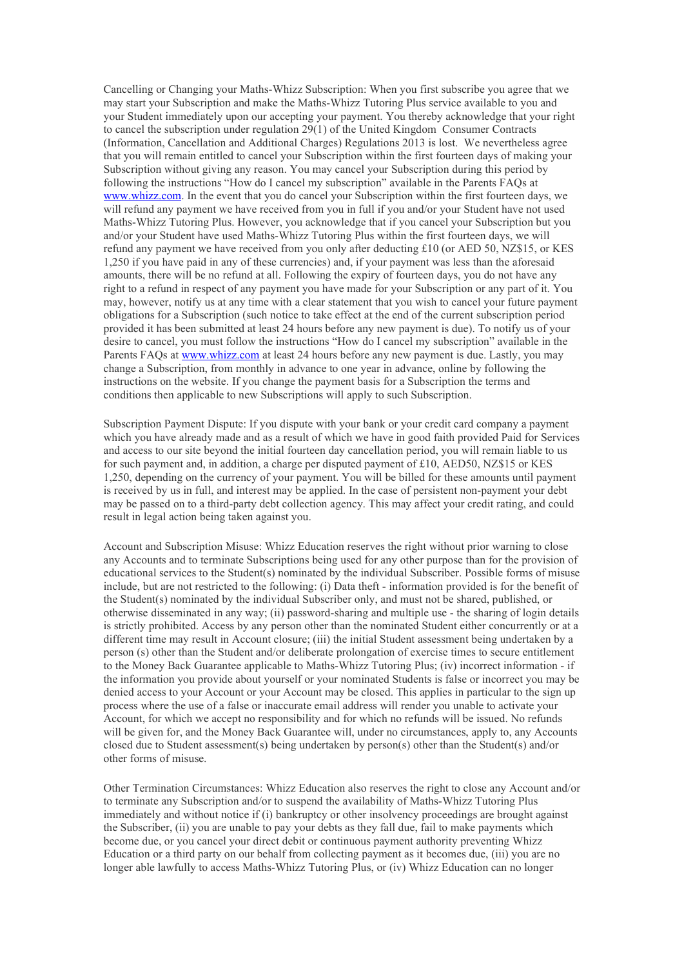Cancelling or Changing your Maths-Whizz Subscription: When you first subscribe you agree that we may start your Subscription and make the Maths-Whizz Tutoring Plus service available to you and your Student immediately upon our accepting your payment. You thereby acknowledge that your right to cancel the subscription under regulation 29(1) of the United Kingdom Consumer Contracts (Information, Cancellation and Additional Charges) Regulations 2013 is lost. We nevertheless agree that you will remain entitled to cancel your Subscription within the first fourteen days of making your Subscription without giving any reason. You may cancel your Subscription during this period by following the instructions "How do I cancel my subscription" available in the Parents FAQs at www.whizz.com. In the event that you do cancel your Subscription within the first fourteen days, we will refund any payment we have received from you in full if you and/or your Student have not used Maths-Whizz Tutoring Plus. However, you acknowledge that if you cancel your Subscription but you and/or your Student have used Maths-Whizz Tutoring Plus within the first fourteen days, we will refund any payment we have received from you only after deducting £10 (or AED 50, NZ\$15, or KES 1,250 if you have paid in any of these currencies) and, if your payment was less than the aforesaid amounts, there will be no refund at all. Following the expiry of fourteen days, you do not have any right to a refund in respect of any payment you have made for your Subscription or any part of it. You may, however, notify us at any time with a clear statement that you wish to cancel your future payment obligations for a Subscription (such notice to take effect at the end of the current subscription period provided it has been submitted at least 24 hours before any new payment is due). To notify us of your desire to cancel, you must follow the instructions "How do I cancel my subscription" available in the Parents FAQs at www.whizz.com at least 24 hours before any new payment is due. Lastly, you may change a Subscription, from monthly in advance to one year in advance, online by following the instructions on the website. If you change the payment basis for a Subscription the terms and conditions then applicable to new Subscriptions will apply to such Subscription.

Subscription Payment Dispute: If you dispute with your bank or your credit card company a payment which you have already made and as a result of which we have in good faith provided Paid for Services and access to our site beyond the initial fourteen day cancellation period, you will remain liable to us for such payment and, in addition, a charge per disputed payment of £10, AED50, NZ\$15 or KES 1,250, depending on the currency of your payment. You will be billed for these amounts until payment is received by us in full, and interest may be applied. In the case of persistent non-payment your debt may be passed on to a third-party debt collection agency. This may affect your credit rating, and could result in legal action being taken against you.

Account and Subscription Misuse: Whizz Education reserves the right without prior warning to close any Accounts and to terminate Subscriptions being used for any other purpose than for the provision of educational services to the Student(s) nominated by the individual Subscriber. Possible forms of misuse include, but are not restricted to the following: (i) Data theft - information provided is for the benefit of the Student(s) nominated by the individual Subscriber only, and must not be shared, published, or otherwise disseminated in any way; (ii) password-sharing and multiple use - the sharing of login details is strictly prohibited. Access by any person other than the nominated Student either concurrently or at a different time may result in Account closure; (iii) the initial Student assessment being undertaken by a person (s) other than the Student and/or deliberate prolongation of exercise times to secure entitlement to the Money Back Guarantee applicable to Maths-Whizz Tutoring Plus; (iv) incorrect information - if the information you provide about yourself or your nominated Students is false or incorrect you may be denied access to your Account or your Account may be closed. This applies in particular to the sign up process where the use of a false or inaccurate email address will render you unable to activate your Account, for which we accept no responsibility and for which no refunds will be issued. No refunds will be given for, and the Money Back Guarantee will, under no circumstances, apply to, any Accounts closed due to Student assessment(s) being undertaken by person(s) other than the Student(s) and/or other forms of misuse.

Other Termination Circumstances: Whizz Education also reserves the right to close any Account and/or to terminate any Subscription and/or to suspend the availability of Maths-Whizz Tutoring Plus immediately and without notice if (i) bankruptcy or other insolvency proceedings are brought against the Subscriber, (ii) you are unable to pay your debts as they fall due, fail to make payments which become due, or you cancel your direct debit or continuous payment authority preventing Whizz Education or a third party on our behalf from collecting payment as it becomes due, (iii) you are no longer able lawfully to access Maths-Whizz Tutoring Plus, or (iv) Whizz Education can no longer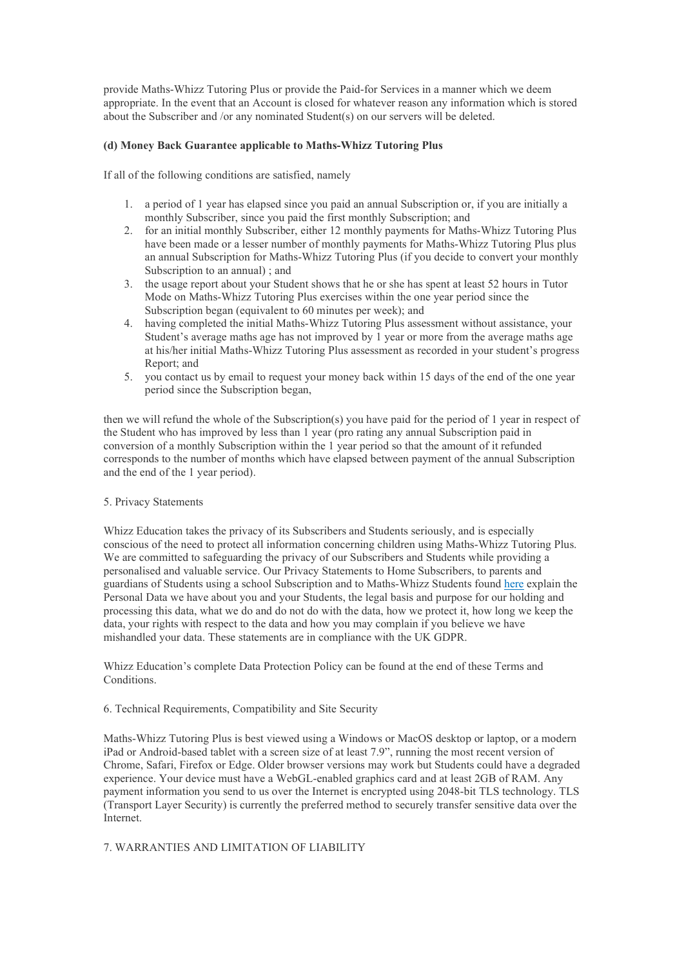provide Maths-Whizz Tutoring Plus or provide the Paid-for Services in a manner which we deem appropriate. In the event that an Account is closed for whatever reason any information which is stored about the Subscriber and /or any nominated Student(s) on our servers will be deleted.

# (d) Money Back Guarantee applicable to Maths-Whizz Tutoring Plus

If all of the following conditions are satisfied, namely

- 1. a period of 1 year has elapsed since you paid an annual Subscription or, if you are initially a monthly Subscriber, since you paid the first monthly Subscription; and
- 2. for an initial monthly Subscriber, either 12 monthly payments for Maths-Whizz Tutoring Plus have been made or a lesser number of monthly payments for Maths-Whizz Tutoring Plus plus an annual Subscription for Maths-Whizz Tutoring Plus (if you decide to convert your monthly Subscription to an annual) ; and
- 3. the usage report about your Student shows that he or she has spent at least 52 hours in Tutor Mode on Maths-Whizz Tutoring Plus exercises within the one year period since the Subscription began (equivalent to 60 minutes per week); and
- 4. having completed the initial Maths-Whizz Tutoring Plus assessment without assistance, your Student's average maths age has not improved by 1 year or more from the average maths age at his/her initial Maths-Whizz Tutoring Plus assessment as recorded in your student's progress Report; and
- 5. you contact us by email to request your money back within 15 days of the end of the one year period since the Subscription began,

then we will refund the whole of the Subscription(s) you have paid for the period of 1 year in respect of the Student who has improved by less than 1 year (pro rating any annual Subscription paid in conversion of a monthly Subscription within the 1 year period so that the amount of it refunded corresponds to the number of months which have elapsed between payment of the annual Subscription and the end of the 1 year period).

#### 5. Privacy Statements

Whizz Education takes the privacy of its Subscribers and Students seriously, and is especially conscious of the need to protect all information concerning children using Maths-Whizz Tutoring Plus. We are committed to safeguarding the privacy of our Subscribers and Students while providing a personalised and valuable service. Our Privacy Statements to Home Subscribers, to parents and guardians of Students using a school Subscription and to Maths-Whizz Students found here explain the Personal Data we have about you and your Students, the legal basis and purpose for our holding and processing this data, what we do and do not do with the data, how we protect it, how long we keep the data, your rights with respect to the data and how you may complain if you believe we have mishandled your data. These statements are in compliance with the UK GDPR.

Whizz Education's complete Data Protection Policy can be found at the end of these Terms and Conditions.

#### 6. Technical Requirements, Compatibility and Site Security

Maths-Whizz Tutoring Plus is best viewed using a Windows or MacOS desktop or laptop, or a modern iPad or Android-based tablet with a screen size of at least 7.9", running the most recent version of Chrome, Safari, Firefox or Edge. Older browser versions may work but Students could have a degraded experience. Your device must have a WebGL-enabled graphics card and at least 2GB of RAM. Any payment information you send to us over the Internet is encrypted using 2048-bit TLS technology. TLS (Transport Layer Security) is currently the preferred method to securely transfer sensitive data over the Internet.

# 7. WARRANTIES AND LIMITATION OF LIABILITY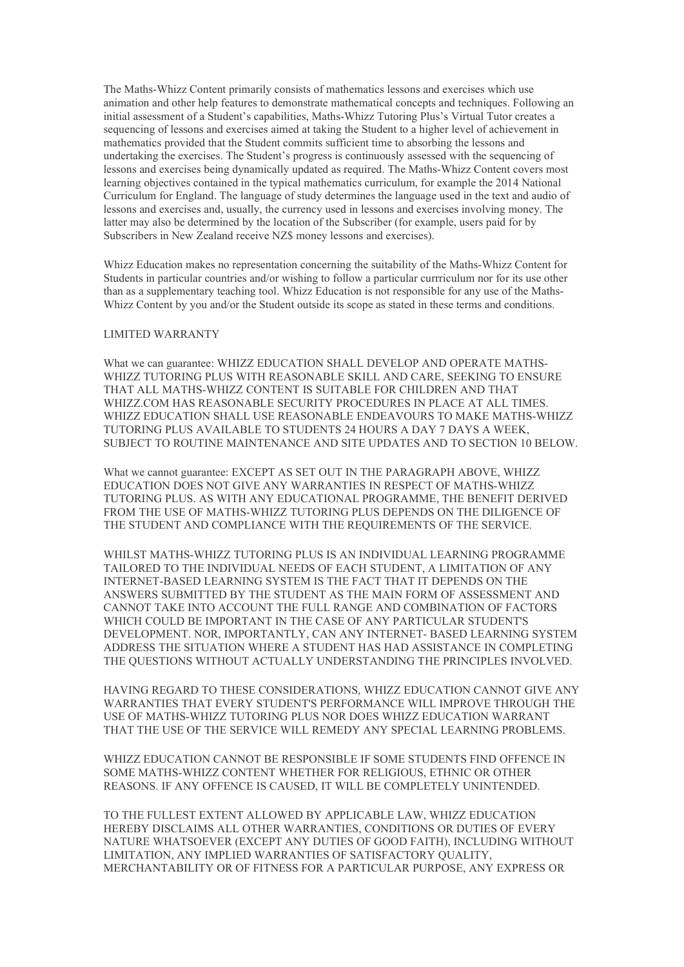The Maths-Whizz Content primarily consists of mathematics lessons and exercises which use animation and other help features to demonstrate mathematical concepts and techniques. Following an initial assessment of a Student's capabilities, Maths-Whizz Tutoring Plus's Virtual Tutor creates a sequencing of lessons and exercises aimed at taking the Student to a higher level of achievement in mathematics provided that the Student commits sufficient time to absorbing the lessons and undertaking the exercises. The Student's progress is continuously assessed with the sequencing of lessons and exercises being dynamically updated as required. The Maths-Whizz Content covers most learning objectives contained in the typical mathematics curriculum, for example the 2014 National Curriculum for England. The language of study determines the language used in the text and audio of lessons and exercises and, usually, the currency used in lessons and exercises involving money. The latter may also be determined by the location of the Subscriber (for example, users paid for by Subscribers in New Zealand receive NZ\$ money lessons and exercises).

Whizz Education makes no representation concerning the suitability of the Maths-Whizz Content for Students in particular countries and/or wishing to follow a particular currriculum nor for its use other than as a supplementary teaching tool. Whizz Education is not responsible for any use of the Maths-Whizz Content by you and/or the Student outside its scope as stated in these terms and conditions.

# LIMITED WARRANTY

What we can guarantee: WHIZZ EDUCATION SHALL DEVELOP AND OPERATE MATHS-WHIZZ TUTORING PLUS WITH REASONABLE SKILL AND CARE, SEEKING TO ENSURE THAT ALL MATHS-WHIZZ CONTENT IS SUITABLE FOR CHILDREN AND THAT WHIZZ.COM HAS REASONABLE SECURITY PROCEDURES IN PLACE AT ALL TIMES. WHIZZ EDUCATION SHALL USE REASONABLE ENDEAVOURS TO MAKE MATHS-WHIZZ TUTORING PLUS AVAILABLE TO STUDENTS 24 HOURS A DAY 7 DAYS A WEEK, SUBJECT TO ROUTINE MAINTENANCE AND SITE UPDATES AND TO SECTION 10 BELOW.

What we cannot guarantee: EXCEPT AS SET OUT IN THE PARAGRAPH ABOVE, WHIZZ EDUCATION DOES NOT GIVE ANY WARRANTIES IN RESPECT OF MATHS-WHIZZ TUTORING PLUS. AS WITH ANY EDUCATIONAL PROGRAMME, THE BENEFIT DERIVED FROM THE USE OF MATHS-WHIZZ TUTORING PLUS DEPENDS ON THE DILIGENCE OF THE STUDENT AND COMPLIANCE WITH THE REQUIREMENTS OF THE SERVICE.

WHILST MATHS-WHIZZ TUTORING PLUS IS AN INDIVIDUAL LEARNING PROGRAMME TAILORED TO THE INDIVIDUAL NEEDS OF EACH STUDENT, A LIMITATION OF ANY INTERNET-BASED LEARNING SYSTEM IS THE FACT THAT IT DEPENDS ON THE ANSWERS SUBMITTED BY THE STUDENT AS THE MAIN FORM OF ASSESSMENT AND CANNOT TAKE INTO ACCOUNT THE FULL RANGE AND COMBINATION OF FACTORS WHICH COULD BE IMPORTANT IN THE CASE OF ANY PARTICULAR STUDENT'S DEVELOPMENT. NOR, IMPORTANTLY, CAN ANY INTERNET- BASED LEARNING SYSTEM ADDRESS THE SITUATION WHERE A STUDENT HAS HAD ASSISTANCE IN COMPLETING THE QUESTIONS WITHOUT ACTUALLY UNDERSTANDING THE PRINCIPLES INVOLVED.

HAVING REGARD TO THESE CONSIDERATIONS, WHIZZ EDUCATION CANNOT GIVE ANY WARRANTIES THAT EVERY STUDENT'S PERFORMANCE WILL IMPROVE THROUGH THE USE OF MATHS-WHIZZ TUTORING PLUS NOR DOES WHIZZ EDUCATION WARRANT THAT THE USE OF THE SERVICE WILL REMEDY ANY SPECIAL LEARNING PROBLEMS.

WHIZZ EDUCATION CANNOT BE RESPONSIBLE IF SOME STUDENTS FIND OFFENCE IN SOME MATHS-WHIZZ CONTENT WHETHER FOR RELIGIOUS, ETHNIC OR OTHER REASONS. IF ANY OFFENCE IS CAUSED, IT WILL BE COMPLETELY UNINTENDED.

TO THE FULLEST EXTENT ALLOWED BY APPLICABLE LAW, WHIZZ EDUCATION HEREBY DISCLAIMS ALL OTHER WARRANTIES, CONDITIONS OR DUTIES OF EVERY NATURE WHATSOEVER (EXCEPT ANY DUTIES OF GOOD FAITH), INCLUDING WITHOUT LIMITATION, ANY IMPLIED WARRANTIES OF SATISFACTORY QUALITY, MERCHANTABILITY OR OF FITNESS FOR A PARTICULAR PURPOSE, ANY EXPRESS OR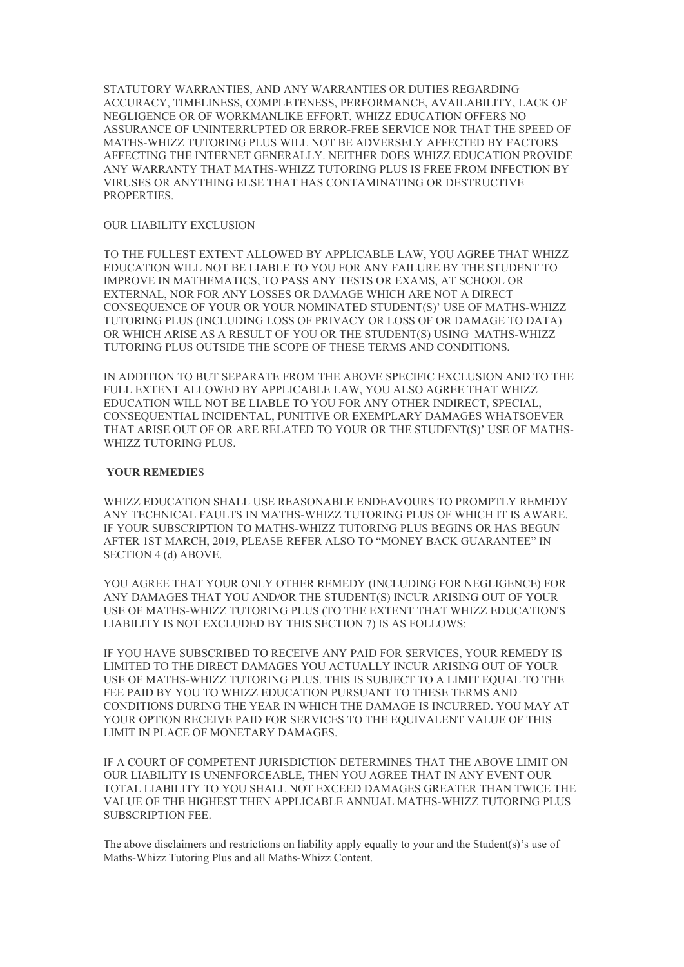STATUTORY WARRANTIES, AND ANY WARRANTIES OR DUTIES REGARDING ACCURACY, TIMELINESS, COMPLETENESS, PERFORMANCE, AVAILABILITY, LACK OF NEGLIGENCE OR OF WORKMANLIKE EFFORT. WHIZZ EDUCATION OFFERS NO ASSURANCE OF UNINTERRUPTED OR ERROR-FREE SERVICE NOR THAT THE SPEED OF MATHS-WHIZZ TUTORING PLUS WILL NOT BE ADVERSELY AFFECTED BY FACTORS AFFECTING THE INTERNET GENERALLY. NEITHER DOES WHIZZ EDUCATION PROVIDE ANY WARRANTY THAT MATHS-WHIZZ TUTORING PLUS IS FREE FROM INFECTION BY VIRUSES OR ANYTHING ELSE THAT HAS CONTAMINATING OR DESTRUCTIVE PROPERTIES.

#### OUR LIABILITY EXCLUSION

TO THE FULLEST EXTENT ALLOWED BY APPLICABLE LAW, YOU AGREE THAT WHIZZ EDUCATION WILL NOT BE LIABLE TO YOU FOR ANY FAILURE BY THE STUDENT TO IMPROVE IN MATHEMATICS, TO PASS ANY TESTS OR EXAMS, AT SCHOOL OR EXTERNAL, NOR FOR ANY LOSSES OR DAMAGE WHICH ARE NOT A DIRECT CONSEQUENCE OF YOUR OR YOUR NOMINATED STUDENT(S)' USE OF MATHS-WHIZZ TUTORING PLUS (INCLUDING LOSS OF PRIVACY OR LOSS OF OR DAMAGE TO DATA) OR WHICH ARISE AS A RESULT OF YOU OR THE STUDENT(S) USING MATHS-WHIZZ TUTORING PLUS OUTSIDE THE SCOPE OF THESE TERMS AND CONDITIONS.

IN ADDITION TO BUT SEPARATE FROM THE ABOVE SPECIFIC EXCLUSION AND TO THE FULL EXTENT ALLOWED BY APPLICABLE LAW, YOU ALSO AGREE THAT WHIZZ EDUCATION WILL NOT BE LIABLE TO YOU FOR ANY OTHER INDIRECT, SPECIAL, CONSEQUENTIAL INCIDENTAL, PUNITIVE OR EXEMPLARY DAMAGES WHATSOEVER THAT ARISE OUT OF OR ARE RELATED TO YOUR OR THE STUDENT(S)' USE OF MATHS-WHIZZ TUTORING PLUS.

### YOUR REMEDIES

WHIZZ EDUCATION SHALL USE REASONABLE ENDEAVOURS TO PROMPTLY REMEDY ANY TECHNICAL FAULTS IN MATHS-WHIZZ TUTORING PLUS OF WHICH IT IS AWARE. IF YOUR SUBSCRIPTION TO MATHS-WHIZZ TUTORING PLUS BEGINS OR HAS BEGUN AFTER 1ST MARCH, 2019, PLEASE REFER ALSO TO "MONEY BACK GUARANTEE" IN SECTION 4 (d) ABOVE.

YOU AGREE THAT YOUR ONLY OTHER REMEDY (INCLUDING FOR NEGLIGENCE) FOR ANY DAMAGES THAT YOU AND/OR THE STUDENT(S) INCUR ARISING OUT OF YOUR USE OF MATHS-WHIZZ TUTORING PLUS (TO THE EXTENT THAT WHIZZ EDUCATION'S LIABILITY IS NOT EXCLUDED BY THIS SECTION 7) IS AS FOLLOWS:

IF YOU HAVE SUBSCRIBED TO RECEIVE ANY PAID FOR SERVICES, YOUR REMEDY IS LIMITED TO THE DIRECT DAMAGES YOU ACTUALLY INCUR ARISING OUT OF YOUR USE OF MATHS-WHIZZ TUTORING PLUS. THIS IS SUBJECT TO A LIMIT EQUAL TO THE FEE PAID BY YOU TO WHIZZ EDUCATION PURSUANT TO THESE TERMS AND CONDITIONS DURING THE YEAR IN WHICH THE DAMAGE IS INCURRED. YOU MAY AT YOUR OPTION RECEIVE PAID FOR SERVICES TO THE EQUIVALENT VALUE OF THIS LIMIT IN PLACE OF MONETARY DAMAGES.

IF A COURT OF COMPETENT JURISDICTION DETERMINES THAT THE ABOVE LIMIT ON OUR LIABILITY IS UNENFORCEABLE, THEN YOU AGREE THAT IN ANY EVENT OUR TOTAL LIABILITY TO YOU SHALL NOT EXCEED DAMAGES GREATER THAN TWICE THE VALUE OF THE HIGHEST THEN APPLICABLE ANNUAL MATHS-WHIZZ TUTORING PLUS SUBSCRIPTION FEE.

The above disclaimers and restrictions on liability apply equally to your and the Student(s)'s use of Maths-Whizz Tutoring Plus and all Maths-Whizz Content.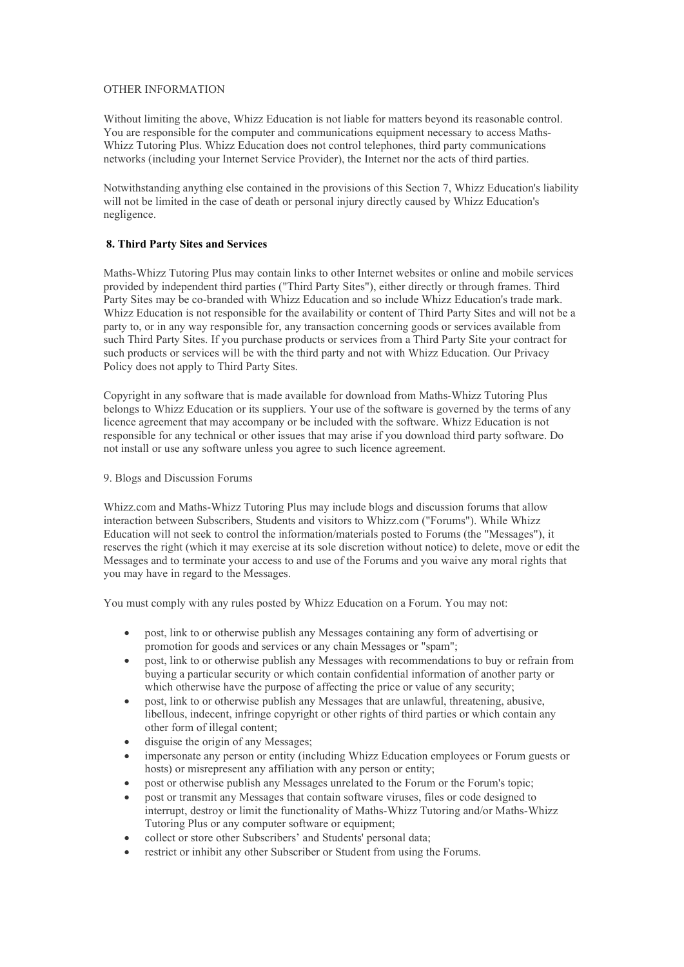# OTHER INFORMATION

Without limiting the above, Whizz Education is not liable for matters beyond its reasonable control. You are responsible for the computer and communications equipment necessary to access Maths-Whizz Tutoring Plus. Whizz Education does not control telephones, third party communications networks (including your Internet Service Provider), the Internet nor the acts of third parties.

Notwithstanding anything else contained in the provisions of this Section 7, Whizz Education's liability will not be limited in the case of death or personal injury directly caused by Whizz Education's negligence.

# 8. Third Party Sites and Services

Maths-Whizz Tutoring Plus may contain links to other Internet websites or online and mobile services provided by independent third parties ("Third Party Sites"), either directly or through frames. Third Party Sites may be co-branded with Whizz Education and so include Whizz Education's trade mark. Whizz Education is not responsible for the availability or content of Third Party Sites and will not be a party to, or in any way responsible for, any transaction concerning goods or services available from such Third Party Sites. If you purchase products or services from a Third Party Site your contract for such products or services will be with the third party and not with Whizz Education. Our Privacy Policy does not apply to Third Party Sites.

Copyright in any software that is made available for download from Maths-Whizz Tutoring Plus belongs to Whizz Education or its suppliers. Your use of the software is governed by the terms of any licence agreement that may accompany or be included with the software. Whizz Education is not responsible for any technical or other issues that may arise if you download third party software. Do not install or use any software unless you agree to such licence agreement.

#### 9. Blogs and Discussion Forums

Whizz.com and Maths-Whizz Tutoring Plus may include blogs and discussion forums that allow interaction between Subscribers, Students and visitors to Whizz.com ("Forums"). While Whizz Education will not seek to control the information/materials posted to Forums (the "Messages"), it reserves the right (which it may exercise at its sole discretion without notice) to delete, move or edit the Messages and to terminate your access to and use of the Forums and you waive any moral rights that you may have in regard to the Messages.

You must comply with any rules posted by Whizz Education on a Forum. You may not:

- post, link to or otherwise publish any Messages containing any form of advertising or promotion for goods and services or any chain Messages or "spam";
- post, link to or otherwise publish any Messages with recommendations to buy or refrain from buying a particular security or which contain confidential information of another party or which otherwise have the purpose of affecting the price or value of any security;
- post, link to or otherwise publish any Messages that are unlawful, threatening, abusive, libellous, indecent, infringe copyright or other rights of third parties or which contain any other form of illegal content;
- disguise the origin of any Messages;
- impersonate any person or entity (including Whizz Education employees or Forum guests or hosts) or misrepresent any affiliation with any person or entity;
- post or otherwise publish any Messages unrelated to the Forum or the Forum's topic;
- post or transmit any Messages that contain software viruses, files or code designed to interrupt, destroy or limit the functionality of Maths-Whizz Tutoring and/or Maths-Whizz Tutoring Plus or any computer software or equipment;
- collect or store other Subscribers' and Students' personal data;
- restrict or inhibit any other Subscriber or Student from using the Forums.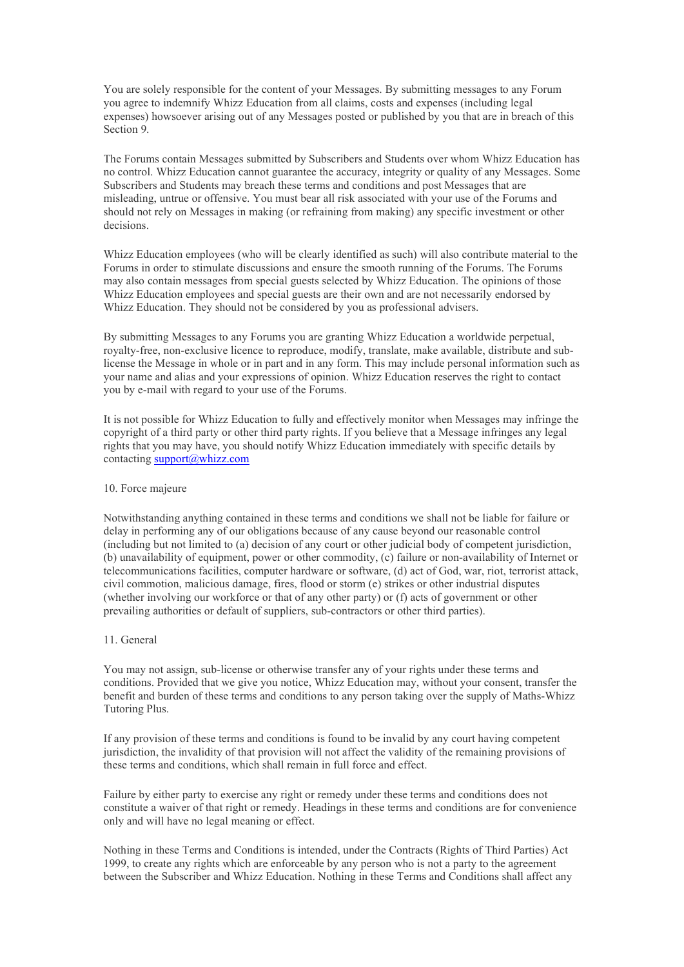You are solely responsible for the content of your Messages. By submitting messages to any Forum you agree to indemnify Whizz Education from all claims, costs and expenses (including legal expenses) howsoever arising out of any Messages posted or published by you that are in breach of this Section 9.

The Forums contain Messages submitted by Subscribers and Students over whom Whizz Education has no control. Whizz Education cannot guarantee the accuracy, integrity or quality of any Messages. Some Subscribers and Students may breach these terms and conditions and post Messages that are misleading, untrue or offensive. You must bear all risk associated with your use of the Forums and should not rely on Messages in making (or refraining from making) any specific investment or other decisions.

Whizz Education employees (who will be clearly identified as such) will also contribute material to the Forums in order to stimulate discussions and ensure the smooth running of the Forums. The Forums may also contain messages from special guests selected by Whizz Education. The opinions of those Whizz Education employees and special guests are their own and are not necessarily endorsed by Whizz Education. They should not be considered by you as professional advisers.

By submitting Messages to any Forums you are granting Whizz Education a worldwide perpetual, royalty-free, non-exclusive licence to reproduce, modify, translate, make available, distribute and sublicense the Message in whole or in part and in any form. This may include personal information such as your name and alias and your expressions of opinion. Whizz Education reserves the right to contact you by e-mail with regard to your use of the Forums.

It is not possible for Whizz Education to fully and effectively monitor when Messages may infringe the copyright of a third party or other third party rights. If you believe that a Message infringes any legal rights that you may have, you should notify Whizz Education immediately with specific details by contacting support@whizz.com

#### 10. Force majeure

Notwithstanding anything contained in these terms and conditions we shall not be liable for failure or delay in performing any of our obligations because of any cause beyond our reasonable control (including but not limited to (a) decision of any court or other judicial body of competent jurisdiction, (b) unavailability of equipment, power or other commodity, (c) failure or non-availability of Internet or telecommunications facilities, computer hardware or software, (d) act of God, war, riot, terrorist attack, civil commotion, malicious damage, fires, flood or storm (e) strikes or other industrial disputes (whether involving our workforce or that of any other party) or (f) acts of government or other prevailing authorities or default of suppliers, sub-contractors or other third parties).

#### 11. General

You may not assign, sub-license or otherwise transfer any of your rights under these terms and conditions. Provided that we give you notice, Whizz Education may, without your consent, transfer the benefit and burden of these terms and conditions to any person taking over the supply of Maths-Whizz Tutoring Plus.

If any provision of these terms and conditions is found to be invalid by any court having competent jurisdiction, the invalidity of that provision will not affect the validity of the remaining provisions of these terms and conditions, which shall remain in full force and effect.

Failure by either party to exercise any right or remedy under these terms and conditions does not constitute a waiver of that right or remedy. Headings in these terms and conditions are for convenience only and will have no legal meaning or effect.

Nothing in these Terms and Conditions is intended, under the Contracts (Rights of Third Parties) Act 1999, to create any rights which are enforceable by any person who is not a party to the agreement between the Subscriber and Whizz Education. Nothing in these Terms and Conditions shall affect any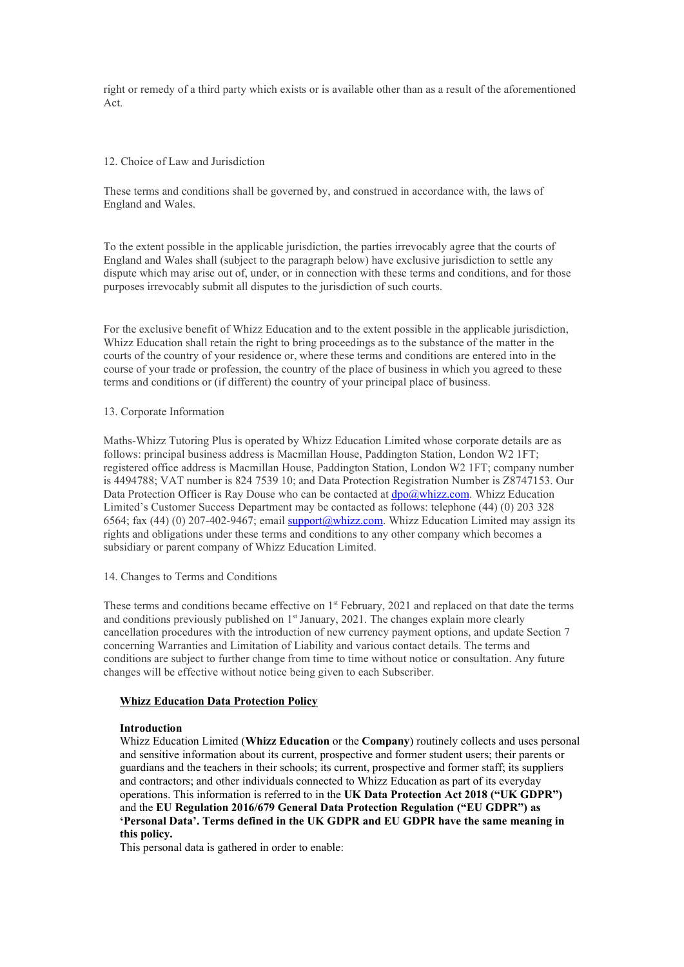right or remedy of a third party which exists or is available other than as a result of the aforementioned Act.

## 12. Choice of Law and Jurisdiction

These terms and conditions shall be governed by, and construed in accordance with, the laws of England and Wales.

To the extent possible in the applicable jurisdiction, the parties irrevocably agree that the courts of England and Wales shall (subject to the paragraph below) have exclusive jurisdiction to settle any dispute which may arise out of, under, or in connection with these terms and conditions, and for those purposes irrevocably submit all disputes to the jurisdiction of such courts.

For the exclusive benefit of Whizz Education and to the extent possible in the applicable jurisdiction, Whizz Education shall retain the right to bring proceedings as to the substance of the matter in the courts of the country of your residence or, where these terms and conditions are entered into in the course of your trade or profession, the country of the place of business in which you agreed to these terms and conditions or (if different) the country of your principal place of business.

# 13. Corporate Information

Maths-Whizz Tutoring Plus is operated by Whizz Education Limited whose corporate details are as follows: principal business address is Macmillan House, Paddington Station, London W2 1FT; registered office address is Macmillan House, Paddington Station, London W2 1FT; company number is 4494788; VAT number is 824 7539 10; and Data Protection Registration Number is Z8747153. Our Data Protection Officer is Ray Douse who can be contacted at  $\frac{dpo(\partial y\text{lnizz.com}}{dyo(\partial y\text{lnuzz.com}})$ . Whizz Education Limited's Customer Success Department may be contacted as follows: telephone (44) (0) 203 328 6564; fax (44) (0) 207-402-9467; email support@whizz.com. Whizz Education Limited may assign its rights and obligations under these terms and conditions to any other company which becomes a subsidiary or parent company of Whizz Education Limited.

#### 14. Changes to Terms and Conditions

These terms and conditions became effective on 1<sup>st</sup> February, 2021 and replaced on that date the terms and conditions previously published on 1st January, 2021. The changes explain more clearly cancellation procedures with the introduction of new currency payment options, and update Section 7 concerning Warranties and Limitation of Liability and various contact details. The terms and conditions are subject to further change from time to time without notice or consultation. Any future changes will be effective without notice being given to each Subscriber.

# Whizz Education Data Protection Policy

#### Introduction

Whizz Education Limited (Whizz Education or the Company) routinely collects and uses personal and sensitive information about its current, prospective and former student users; their parents or guardians and the teachers in their schools; its current, prospective and former staff; its suppliers and contractors; and other individuals connected to Whizz Education as part of its everyday operations. This information is referred to in the UK Data Protection Act 2018 ("UK GDPR") and the EU Regulation 2016/679 General Data Protection Regulation ("EU GDPR") as 'Personal Data'. Terms defined in the UK GDPR and EU GDPR have the same meaning in this policy.

This personal data is gathered in order to enable: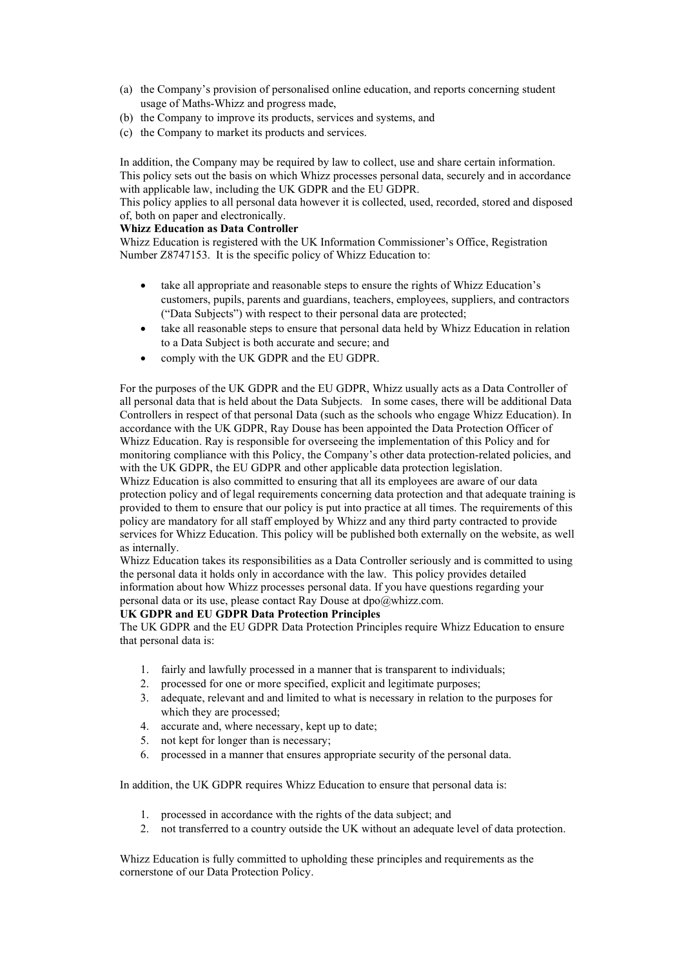- (a) the Company's provision of personalised online education, and reports concerning student usage of Maths-Whizz and progress made,
- (b) the Company to improve its products, services and systems, and
- (c) the Company to market its products and services.

In addition, the Company may be required by law to collect, use and share certain information. This policy sets out the basis on which Whizz processes personal data, securely and in accordance with applicable law, including the UK GDPR and the EU GDPR.

This policy applies to all personal data however it is collected, used, recorded, stored and disposed of, both on paper and electronically.

# Whizz Education as Data Controller

Whizz Education is registered with the UK Information Commissioner's Office, Registration Number Z8747153. It is the specific policy of Whizz Education to:

- take all appropriate and reasonable steps to ensure the rights of Whizz Education's customers, pupils, parents and guardians, teachers, employees, suppliers, and contractors ("Data Subjects") with respect to their personal data are protected;
- take all reasonable steps to ensure that personal data held by Whizz Education in relation to a Data Subject is both accurate and secure; and
- comply with the UK GDPR and the EU GDPR.

For the purposes of the UK GDPR and the EU GDPR, Whizz usually acts as a Data Controller of all personal data that is held about the Data Subjects. In some cases, there will be additional Data Controllers in respect of that personal Data (such as the schools who engage Whizz Education). In accordance with the UK GDPR, Ray Douse has been appointed the Data Protection Officer of Whizz Education. Ray is responsible for overseeing the implementation of this Policy and for monitoring compliance with this Policy, the Company's other data protection-related policies, and with the UK GDPR, the EU GDPR and other applicable data protection legislation.

Whizz Education is also committed to ensuring that all its employees are aware of our data protection policy and of legal requirements concerning data protection and that adequate training is provided to them to ensure that our policy is put into practice at all times. The requirements of this policy are mandatory for all staff employed by Whizz and any third party contracted to provide services for Whizz Education. This policy will be published both externally on the website, as well as internally.

Whizz Education takes its responsibilities as a Data Controller seriously and is committed to using the personal data it holds only in accordance with the law. This policy provides detailed information about how Whizz processes personal data. If you have questions regarding your personal data or its use, please contact Ray Douse at dpo@whizz.com.

# UK GDPR and EU GDPR Data Protection Principles

The UK GDPR and the EU GDPR Data Protection Principles require Whizz Education to ensure that personal data is:

- 1. fairly and lawfully processed in a manner that is transparent to individuals;
- 2. processed for one or more specified, explicit and legitimate purposes;
- 3. adequate, relevant and and limited to what is necessary in relation to the purposes for which they are processed;
- 4. accurate and, where necessary, kept up to date;
- 5. not kept for longer than is necessary;
- 6. processed in a manner that ensures appropriate security of the personal data.

In addition, the UK GDPR requires Whizz Education to ensure that personal data is:

- 1. processed in accordance with the rights of the data subject; and
- 2. not transferred to a country outside the UK without an adequate level of data protection.

Whizz Education is fully committed to upholding these principles and requirements as the cornerstone of our Data Protection Policy.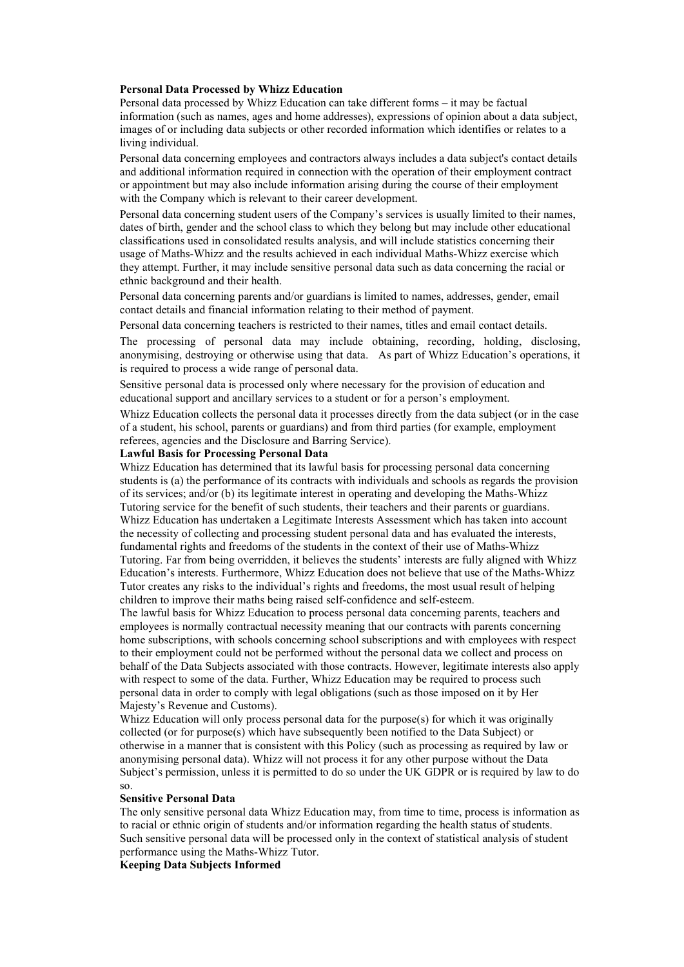#### Personal Data Processed by Whizz Education

Personal data processed by Whizz Education can take different forms – it may be factual information (such as names, ages and home addresses), expressions of opinion about a data subject, images of or including data subjects or other recorded information which identifies or relates to a living individual.

Personal data concerning employees and contractors always includes a data subject's contact details and additional information required in connection with the operation of their employment contract or appointment but may also include information arising during the course of their employment with the Company which is relevant to their career development.

Personal data concerning student users of the Company's services is usually limited to their names, dates of birth, gender and the school class to which they belong but may include other educational classifications used in consolidated results analysis, and will include statistics concerning their usage of Maths-Whizz and the results achieved in each individual Maths-Whizz exercise which they attempt. Further, it may include sensitive personal data such as data concerning the racial or ethnic background and their health.

Personal data concerning parents and/or guardians is limited to names, addresses, gender, email contact details and financial information relating to their method of payment.

Personal data concerning teachers is restricted to their names, titles and email contact details.

The processing of personal data may include obtaining, recording, holding, disclosing, anonymising, destroying or otherwise using that data. As part of Whizz Education's operations, it is required to process a wide range of personal data.

Sensitive personal data is processed only where necessary for the provision of education and educational support and ancillary services to a student or for a person's employment.

Whizz Education collects the personal data it processes directly from the data subject (or in the case of a student, his school, parents or guardians) and from third parties (for example, employment referees, agencies and the Disclosure and Barring Service).

#### Lawful Basis for Processing Personal Data

Whizz Education has determined that its lawful basis for processing personal data concerning students is (a) the performance of its contracts with individuals and schools as regards the provision of its services; and/or (b) its legitimate interest in operating and developing the Maths-Whizz Tutoring service for the benefit of such students, their teachers and their parents or guardians. Whizz Education has undertaken a Legitimate Interests Assessment which has taken into account the necessity of collecting and processing student personal data and has evaluated the interests, fundamental rights and freedoms of the students in the context of their use of Maths-Whizz Tutoring. Far from being overridden, it believes the students' interests are fully aligned with Whizz Education's interests. Furthermore, Whizz Education does not believe that use of the Maths-Whizz Tutor creates any risks to the individual's rights and freedoms, the most usual result of helping children to improve their maths being raised self-confidence and self-esteem.

The lawful basis for Whizz Education to process personal data concerning parents, teachers and employees is normally contractual necessity meaning that our contracts with parents concerning home subscriptions, with schools concerning school subscriptions and with employees with respect to their employment could not be performed without the personal data we collect and process on behalf of the Data Subjects associated with those contracts. However, legitimate interests also apply with respect to some of the data. Further, Whizz Education may be required to process such personal data in order to comply with legal obligations (such as those imposed on it by Her Majesty's Revenue and Customs).

Whizz Education will only process personal data for the purpose(s) for which it was originally collected (or for purpose(s) which have subsequently been notified to the Data Subject) or otherwise in a manner that is consistent with this Policy (such as processing as required by law or anonymising personal data). Whizz will not process it for any other purpose without the Data Subject's permission, unless it is permitted to do so under the UK GDPR or is required by law to do so.

#### Sensitive Personal Data

The only sensitive personal data Whizz Education may, from time to time, process is information as to racial or ethnic origin of students and/or information regarding the health status of students. Such sensitive personal data will be processed only in the context of statistical analysis of student performance using the Maths-Whizz Tutor.

Keeping Data Subjects Informed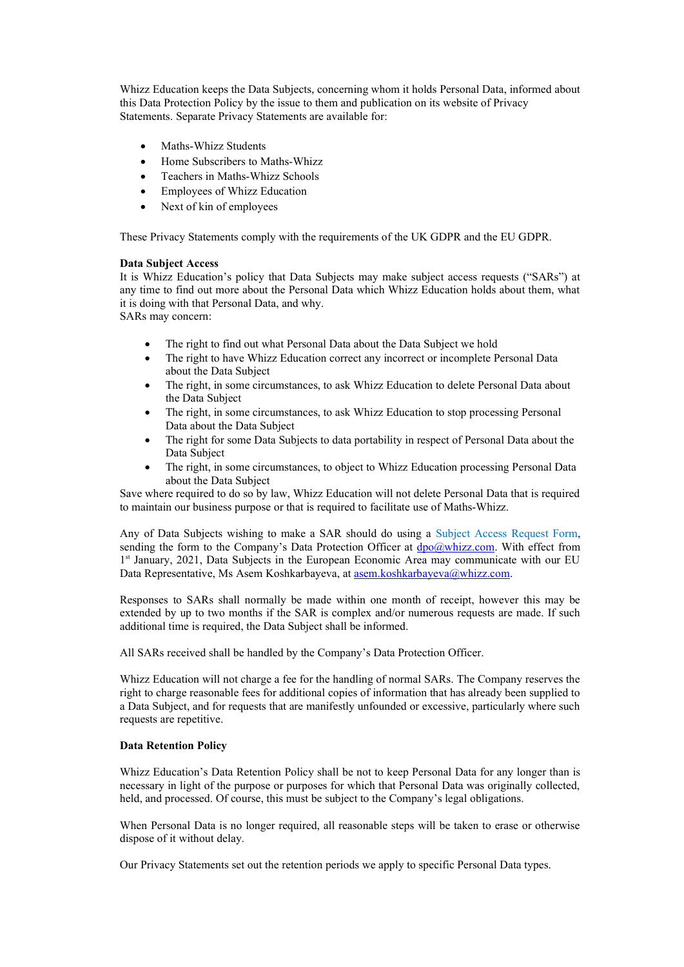Whizz Education keeps the Data Subjects, concerning whom it holds Personal Data, informed about this Data Protection Policy by the issue to them and publication on its website of Privacy Statements. Separate Privacy Statements are available for:

- Maths-Whizz Students
- Home Subscribers to Maths-Whizz
- Teachers in Maths-Whizz Schools
- Employees of Whizz Education
- Next of kin of employees

These Privacy Statements comply with the requirements of the UK GDPR and the EU GDPR.

# Data Subject Access

It is Whizz Education's policy that Data Subjects may make subject access requests ("SARs") at any time to find out more about the Personal Data which Whizz Education holds about them, what it is doing with that Personal Data, and why.

SARs may concern:

- The right to find out what Personal Data about the Data Subject we hold
- The right to have Whizz Education correct any incorrect or incomplete Personal Data about the Data Subject
- The right, in some circumstances, to ask Whizz Education to delete Personal Data about the Data Subject
- The right, in some circumstances, to ask Whizz Education to stop processing Personal Data about the Data Subject
- The right for some Data Subjects to data portability in respect of Personal Data about the Data Subject
- The right, in some circumstances, to object to Whizz Education processing Personal Data about the Data Subject

Save where required to do so by law, Whizz Education will not delete Personal Data that is required to maintain our business purpose or that is required to facilitate use of Maths-Whizz.

Any of Data Subjects wishing to make a SAR should do using a Subject Access Request Form, sending the form to the Company's Data Protection Officer at  $\frac{d_{\text{po}}(a_{\text{whizz.com}})}{d_{\text{po}}(a_{\text{whizz.com}})}$ . With effect from 1<sup>st</sup> January, 2021, Data Subjects in the European Economic Area may communicate with our EU Data Representative, Ms Asem Koshkarbayeva, at asem.koshkarbayeva@whizz.com.

Responses to SARs shall normally be made within one month of receipt, however this may be extended by up to two months if the SAR is complex and/or numerous requests are made. If such additional time is required, the Data Subject shall be informed.

All SARs received shall be handled by the Company's Data Protection Officer.

Whizz Education will not charge a fee for the handling of normal SARs. The Company reserves the right to charge reasonable fees for additional copies of information that has already been supplied to a Data Subject, and for requests that are manifestly unfounded or excessive, particularly where such requests are repetitive.

# Data Retention Policy

Whizz Education's Data Retention Policy shall be not to keep Personal Data for any longer than is necessary in light of the purpose or purposes for which that Personal Data was originally collected, held, and processed. Of course, this must be subject to the Company's legal obligations.

When Personal Data is no longer required, all reasonable steps will be taken to erase or otherwise dispose of it without delay.

Our Privacy Statements set out the retention periods we apply to specific Personal Data types.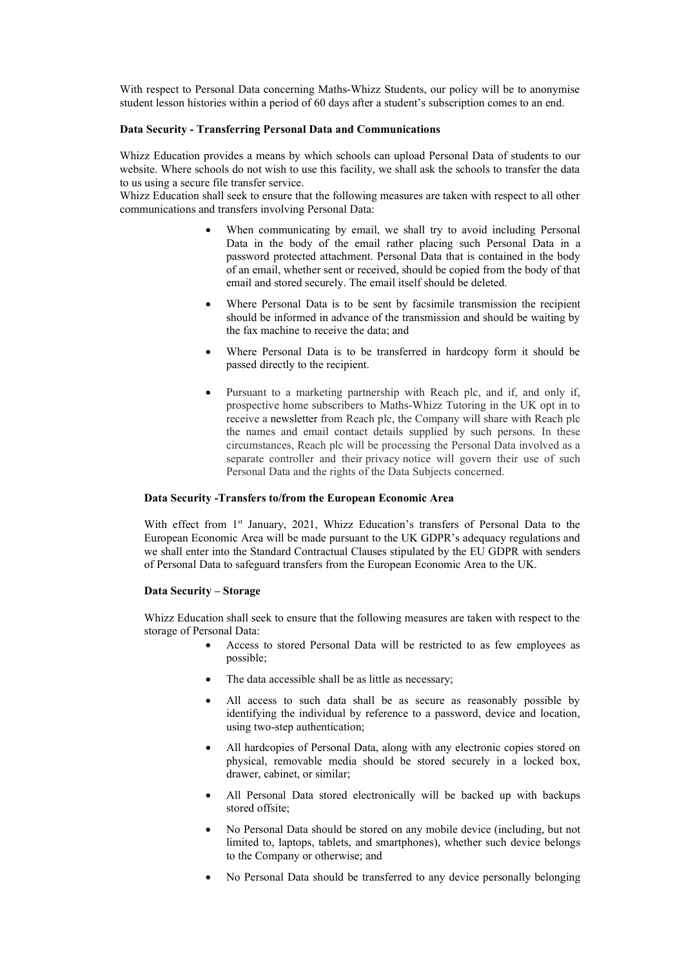With respect to Personal Data concerning Maths-Whizz Students, our policy will be to anonymise student lesson histories within a period of 60 days after a student's subscription comes to an end.

#### Data Security - Transferring Personal Data and Communications

Whizz Education provides a means by which schools can upload Personal Data of students to our website. Where schools do not wish to use this facility, we shall ask the schools to transfer the data to us using a secure file transfer service.

Whizz Education shall seek to ensure that the following measures are taken with respect to all other communications and transfers involving Personal Data:

- When communicating by email, we shall try to avoid including Personal Data in the body of the email rather placing such Personal Data in a password protected attachment. Personal Data that is contained in the body of an email, whether sent or received, should be copied from the body of that email and stored securely. The email itself should be deleted.
- Where Personal Data is to be sent by facsimile transmission the recipient should be informed in advance of the transmission and should be waiting by the fax machine to receive the data; and
- Where Personal Data is to be transferred in hardcopy form it should be passed directly to the recipient.
- Pursuant to a marketing partnership with Reach plc, and if, and only if, prospective home subscribers to Maths-Whizz Tutoring in the UK opt in to receive a newsletter from Reach plc, the Company will share with Reach plc the names and email contact details supplied by such persons. In these circumstances, Reach plc will be processing the Personal Data involved as a separate controller and their privacy notice will govern their use of such Personal Data and the rights of the Data Subjects concerned.

## Data Security -Transfers to/from the European Economic Area

With effect from 1st January, 2021, Whizz Education's transfers of Personal Data to the European Economic Area will be made pursuant to the UK GDPR's adequacy regulations and we shall enter into the Standard Contractual Clauses stipulated by the EU GDPR with senders of Personal Data to safeguard transfers from the European Economic Area to the UK.

#### Data Security – Storage

Whizz Education shall seek to ensure that the following measures are taken with respect to the storage of Personal Data:

- Access to stored Personal Data will be restricted to as few employees as possible;
- The data accessible shall be as little as necessary;
- All access to such data shall be as secure as reasonably possible by identifying the individual by reference to a password, device and location, using two-step authentication;
- All hardcopies of Personal Data, along with any electronic copies stored on physical, removable media should be stored securely in a locked box, drawer, cabinet, or similar;
- All Personal Data stored electronically will be backed up with backups stored offsite;
- No Personal Data should be stored on any mobile device (including, but not limited to, laptops, tablets, and smartphones), whether such device belongs to the Company or otherwise; and
- No Personal Data should be transferred to any device personally belonging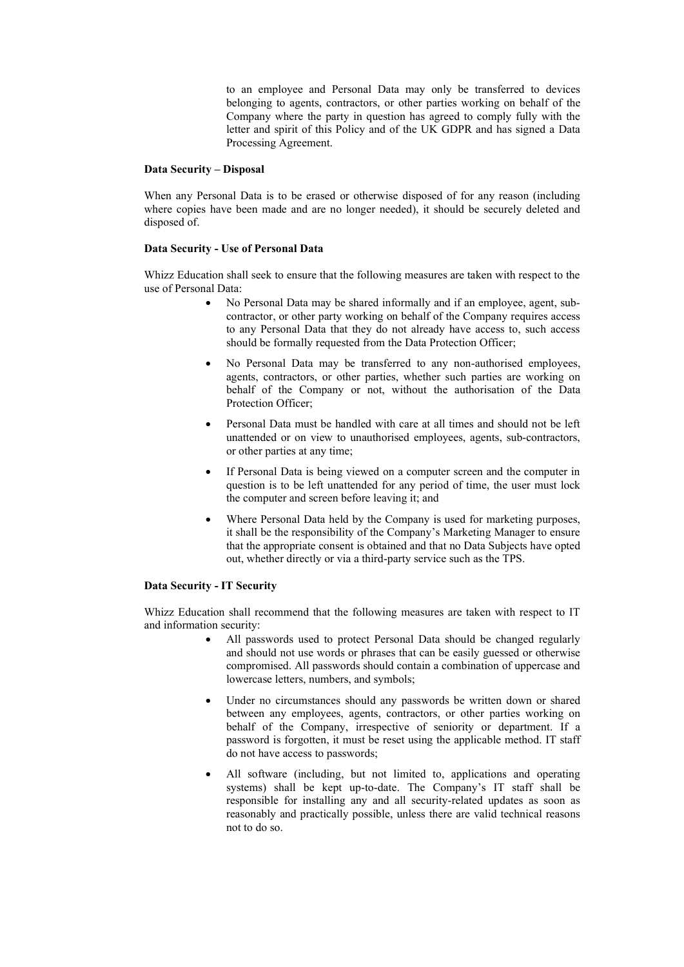to an employee and Personal Data may only be transferred to devices belonging to agents, contractors, or other parties working on behalf of the Company where the party in question has agreed to comply fully with the letter and spirit of this Policy and of the UK GDPR and has signed a Data Processing Agreement.

## Data Security – Disposal

When any Personal Data is to be erased or otherwise disposed of for any reason (including where copies have been made and are no longer needed), it should be securely deleted and disposed of.

# Data Security - Use of Personal Data

Whizz Education shall seek to ensure that the following measures are taken with respect to the use of Personal Data:

- No Personal Data may be shared informally and if an employee, agent, subcontractor, or other party working on behalf of the Company requires access to any Personal Data that they do not already have access to, such access should be formally requested from the Data Protection Officer;
- No Personal Data may be transferred to any non-authorised employees, agents, contractors, or other parties, whether such parties are working on behalf of the Company or not, without the authorisation of the Data Protection Officer;
- Personal Data must be handled with care at all times and should not be left unattended or on view to unauthorised employees, agents, sub-contractors, or other parties at any time;
- If Personal Data is being viewed on a computer screen and the computer in question is to be left unattended for any period of time, the user must lock the computer and screen before leaving it; and
- Where Personal Data held by the Company is used for marketing purposes, it shall be the responsibility of the Company's Marketing Manager to ensure that the appropriate consent is obtained and that no Data Subjects have opted out, whether directly or via a third-party service such as the TPS.

# Data Security - IT Security

Whizz Education shall recommend that the following measures are taken with respect to IT and information security:

- All passwords used to protect Personal Data should be changed regularly and should not use words or phrases that can be easily guessed or otherwise compromised. All passwords should contain a combination of uppercase and lowercase letters, numbers, and symbols;
- Under no circumstances should any passwords be written down or shared between any employees, agents, contractors, or other parties working on behalf of the Company, irrespective of seniority or department. If a password is forgotten, it must be reset using the applicable method. IT staff do not have access to passwords;
- All software (including, but not limited to, applications and operating systems) shall be kept up-to-date. The Company's IT staff shall be responsible for installing any and all security-related updates as soon as reasonably and practically possible, unless there are valid technical reasons not to do so.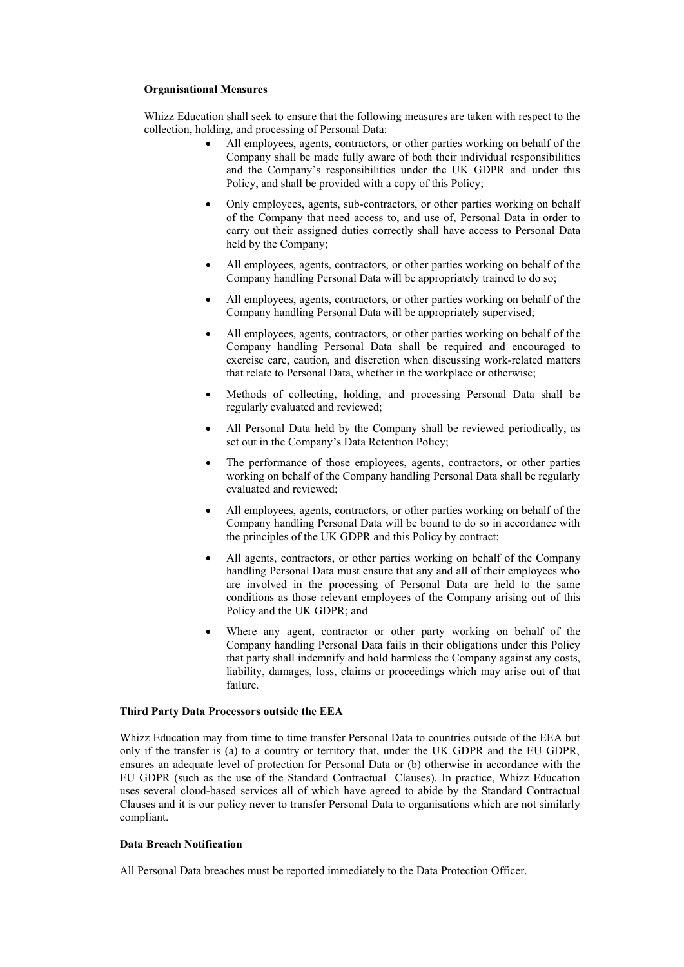# Organisational Measures

Whizz Education shall seek to ensure that the following measures are taken with respect to the collection, holding, and processing of Personal Data:

- All employees, agents, contractors, or other parties working on behalf of the Company shall be made fully aware of both their individual responsibilities and the Company's responsibilities under the UK GDPR and under this Policy, and shall be provided with a copy of this Policy;
- Only employees, agents, sub-contractors, or other parties working on behalf of the Company that need access to, and use of, Personal Data in order to carry out their assigned duties correctly shall have access to Personal Data held by the Company;
- All employees, agents, contractors, or other parties working on behalf of the Company handling Personal Data will be appropriately trained to do so;
- All employees, agents, contractors, or other parties working on behalf of the Company handling Personal Data will be appropriately supervised;
- All employees, agents, contractors, or other parties working on behalf of the Company handling Personal Data shall be required and encouraged to exercise care, caution, and discretion when discussing work-related matters that relate to Personal Data, whether in the workplace or otherwise;
- Methods of collecting, holding, and processing Personal Data shall be regularly evaluated and reviewed;
- All Personal Data held by the Company shall be reviewed periodically, as set out in the Company's Data Retention Policy;
- The performance of those employees, agents, contractors, or other parties working on behalf of the Company handling Personal Data shall be regularly evaluated and reviewed;
- All employees, agents, contractors, or other parties working on behalf of the Company handling Personal Data will be bound to do so in accordance with the principles of the UK GDPR and this Policy by contract;
- All agents, contractors, or other parties working on behalf of the Company handling Personal Data must ensure that any and all of their employees who are involved in the processing of Personal Data are held to the same conditions as those relevant employees of the Company arising out of this Policy and the UK GDPR; and
- Where any agent, contractor or other party working on behalf of the Company handling Personal Data fails in their obligations under this Policy that party shall indemnify and hold harmless the Company against any costs, liability, damages, loss, claims or proceedings which may arise out of that failure.

# Third Party Data Processors outside the EEA

Whizz Education may from time to time transfer Personal Data to countries outside of the EEA but only if the transfer is (a) to a country or territory that, under the UK GDPR and the EU GDPR, ensures an adequate level of protection for Personal Data or (b) otherwise in accordance with the EU GDPR (such as the use of the Standard Contractual Clauses). In practice, Whizz Education uses several cloud-based services all of which have agreed to abide by the Standard Contractual Clauses and it is our policy never to transfer Personal Data to organisations which are not similarly compliant.

#### Data Breach Notification

All Personal Data breaches must be reported immediately to the Data Protection Officer.